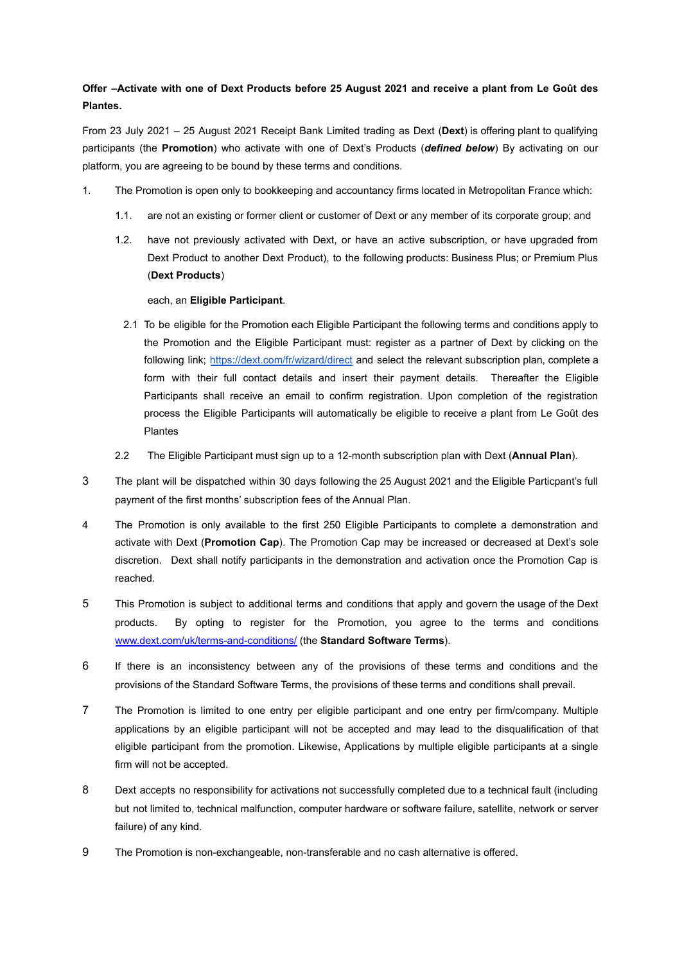## Offer -Activate with one of Dext Products before 25 August 2021 and receive a plant from Le Goût des **Plantes.**

From 23 July 2021 – 25 August 2021 Receipt Bank Limited trading as Dext (**Dext**) is offering plant to qualifying participants (the **Promotion**) who activate with one of Dext's Products (*defined below*) By activating on our platform, you are agreeing to be bound by these terms and conditions.

- 1. The Promotion is open only to bookkeeping and accountancy firms located in Metropolitan France which:
	- 1.1. are not an existing or former client or customer of Dext or any member of its corporate group; and
	- 1.2. have not previously activated with Dext, or have an active subscription, or have upgraded from Dext Product to another Dext Product), to the following products: Business Plus; or Premium Plus (**Dext Products**)

## each, an **Eligible Participant**.

- 2.1 To be eligible for the Promotion each Eligible Participant the following terms and conditions apply to the Promotion and the Eligible Participant must: register as a partner of Dext by clicking on the following link; <https://dext.com/fr/wizard/direct> and select the relevant subscription plan, complete a form with their full contact details and insert their payment details. Thereafter the Eligible Participants shall receive an email to confirm registration. Upon completion of the registration process the Eligible Participants will automatically be eligible to receive a plant from Le Goût des Plantes
- 2.2 The Eligible Participant must sign up to a 12-month subscription plan with Dext (**Annual Plan**).
- 3 The plant will be dispatched within 30 days following the 25 August 2021 and the Eligible Particpant's full payment of the first months' subscription fees of the Annual Plan.
- 4 The Promotion is only available to the first 250 Eligible Participants to complete a demonstration and activate with Dext (**Promotion Cap**). The Promotion Cap may be increased or decreased at Dext's sole discretion. Dext shall notify participants in the demonstration and activation once the Promotion Cap is reached.
- 5 This Promotion is subject to additional terms and conditions that apply and govern the usage of the Dext products. By opting to register for the Promotion, you agree to the terms and conditions [www.dext.com/uk/terms-and-conditions/](http://www.dext.com/uk/terms-and-conditions/) (the **Standard Software Terms**).
- 6 If there is an inconsistency between any of the provisions of these terms and conditions and the provisions of the Standard Software Terms, the provisions of these terms and conditions shall prevail.
- 7 The Promotion is limited to one entry per eligible participant and one entry per firm/company. Multiple applications by an eligible participant will not be accepted and may lead to the disqualification of that eligible participant from the promotion. Likewise, Applications by multiple eligible participants at a single firm will not be accepted.
- 8 Dext accepts no responsibility for activations not successfully completed due to a technical fault (including but not limited to, technical malfunction, computer hardware or software failure, satellite, network or server failure) of any kind.
- 9 The Promotion is non-exchangeable, non-transferable and no cash alternative is offered.